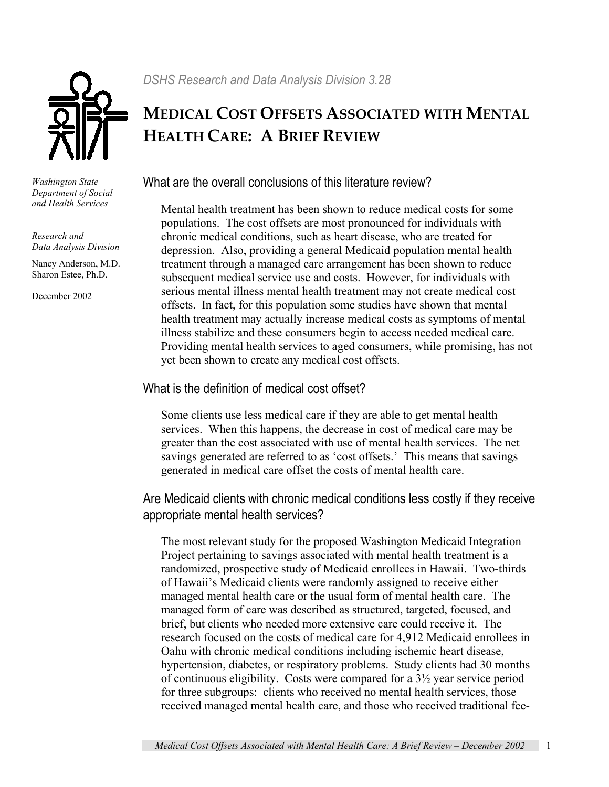

*Washington State Department of Social and Health Services* 

*Research and Data Analysis Division* 

Nancy Anderson, M.D. Sharon Estee, Ph.D.

December 2002

# **MEDICAL COST OFFSETS ASSOCIATED WITH MENTAL HEALTH CARE: A BRIEF REVIEW**

## What are the overall conclusions of this literature review?

Mental health treatment has been shown to reduce medical costs for some populations. The cost offsets are most pronounced for individuals with chronic medical conditions, such as heart disease, who are treated for depression. Also, providing a general Medicaid population mental health treatment through a managed care arrangement has been shown to reduce subsequent medical service use and costs. However, for individuals with serious mental illness mental health treatment may not create medical cost offsets. In fact, for this population some studies have shown that mental health treatment may actually increase medical costs as symptoms of mental illness stabilize and these consumers begin to access needed medical care. Providing mental health services to aged consumers, while promising, has not yet been shown to create any medical cost offsets.

### What is the definition of medical cost offset?

Some clients use less medical care if they are able to get mental health services. When this happens, the decrease in cost of medical care may be greater than the cost associated with use of mental health services. The net savings generated are referred to as 'cost offsets.' This means that savings generated in medical care offset the costs of mental health care.

### Are Medicaid clients with chronic medical conditions less costly if they receive appropriate mental health services?

The most relevant study for the proposed Washington Medicaid Integration Project pertaining to savings associated with mental health treatment is a randomized, prospective study of Medicaid enrollees in Hawaii. Two-thirds of Hawaii's Medicaid clients were randomly assigned to receive either managed mental health care or the usual form of mental health care. The managed form of care was described as structured, targeted, focused, and brief, but clients who needed more extensive care could receive it. The research focused on the costs of medical care for 4,912 Medicaid enrollees in Oahu with chronic medical conditions including ischemic heart disease, hypertension, diabetes, or respiratory problems. Study clients had 30 months of continuous eligibility. Costs were compared for a 3½ year service period for three subgroups: clients who received no mental health services, those received managed mental health care, and those who received traditional fee-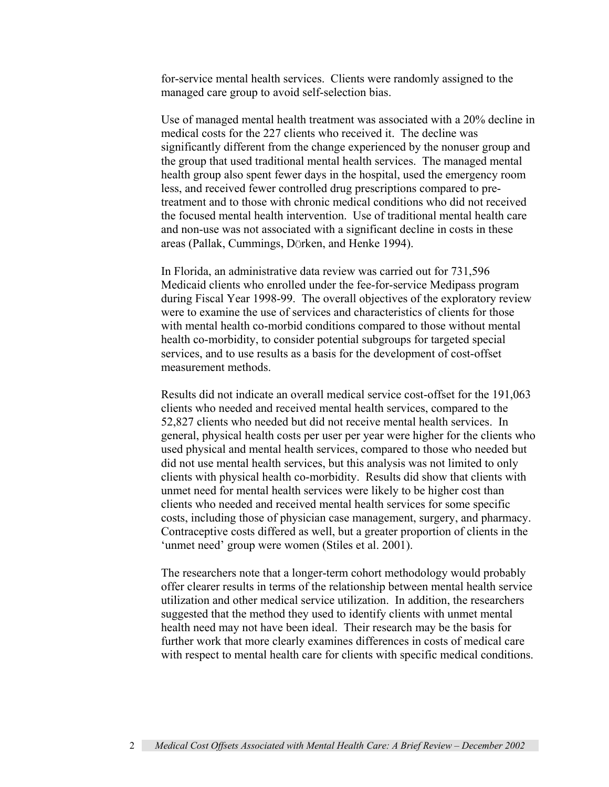for-service mental health services. Clients were randomly assigned to the managed care group to avoid self-selection bias.

Use of managed mental health treatment was associated with a 20% decline in medical costs for the 227 clients who received it. The decline was significantly different from the change experienced by the nonuser group and the group that used traditional mental health services. The managed mental health group also spent fewer days in the hospital, used the emergency room less, and received fewer controlled drug prescriptions compared to pretreatment and to those with chronic medical conditions who did not received the focused mental health intervention. Use of traditional mental health care and non-use was not associated with a significant decline in costs in these areas (Pallak, Cummings, DÖrken, and Henke 1994).

In Florida, an administrative data review was carried out for 731,596 Medicaid clients who enrolled under the fee-for-service Medipass program during Fiscal Year 1998-99. The overall objectives of the exploratory review were to examine the use of services and characteristics of clients for those with mental health co-morbid conditions compared to those without mental health co-morbidity, to consider potential subgroups for targeted special services, and to use results as a basis for the development of cost-offset measurement methods.

Results did not indicate an overall medical service cost-offset for the 191,063 clients who needed and received mental health services, compared to the 52,827 clients who needed but did not receive mental health services. In general, physical health costs per user per year were higher for the clients who used physical and mental health services, compared to those who needed but did not use mental health services, but this analysis was not limited to only clients with physical health co-morbidity. Results did show that clients with unmet need for mental health services were likely to be higher cost than clients who needed and received mental health services for some specific costs, including those of physician case management, surgery, and pharmacy. Contraceptive costs differed as well, but a greater proportion of clients in the 'unmet need' group were women (Stiles et al. 2001).

The researchers note that a longer-term cohort methodology would probably offer clearer results in terms of the relationship between mental health service utilization and other medical service utilization. In addition, the researchers suggested that the method they used to identify clients with unmet mental health need may not have been ideal. Their research may be the basis for further work that more clearly examines differences in costs of medical care with respect to mental health care for clients with specific medical conditions.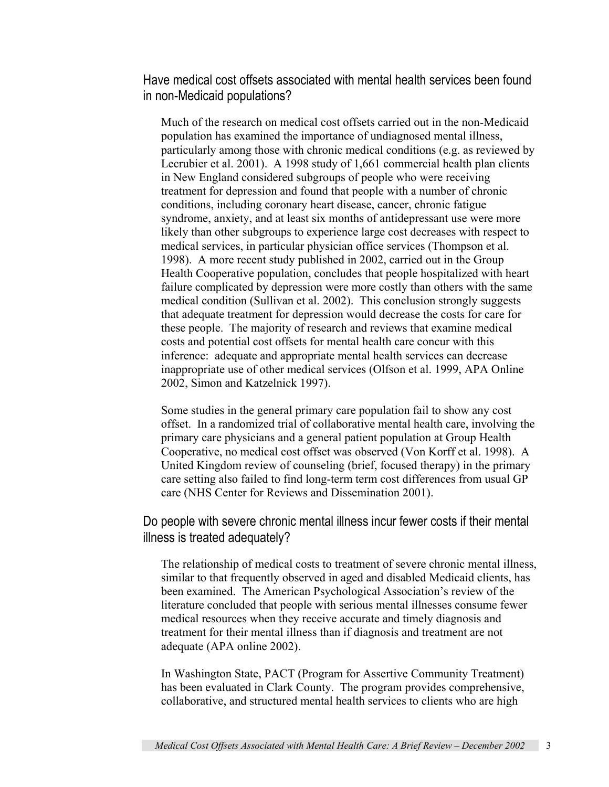Have medical cost offsets associated with mental health services been found in non-Medicaid populations?

Much of the research on medical cost offsets carried out in the non-Medicaid population has examined the importance of undiagnosed mental illness, particularly among those with chronic medical conditions (e.g. as reviewed by Lecrubier et al. 2001). A 1998 study of 1,661 commercial health plan clients in New England considered subgroups of people who were receiving treatment for depression and found that people with a number of chronic conditions, including coronary heart disease, cancer, chronic fatigue syndrome, anxiety, and at least six months of antidepressant use were more likely than other subgroups to experience large cost decreases with respect to medical services, in particular physician office services (Thompson et al. 1998). A more recent study published in 2002, carried out in the Group Health Cooperative population, concludes that people hospitalized with heart failure complicated by depression were more costly than others with the same medical condition (Sullivan et al. 2002). This conclusion strongly suggests that adequate treatment for depression would decrease the costs for care for these people. The majority of research and reviews that examine medical costs and potential cost offsets for mental health care concur with this inference: adequate and appropriate mental health services can decrease inappropriate use of other medical services (Olfson et al. 1999, APA Online 2002, Simon and Katzelnick 1997).

Some studies in the general primary care population fail to show any cost offset. In a randomized trial of collaborative mental health care, involving the primary care physicians and a general patient population at Group Health Cooperative, no medical cost offset was observed (Von Korff et al. 1998). A United Kingdom review of counseling (brief, focused therapy) in the primary care setting also failed to find long-term term cost differences from usual GP care (NHS Center for Reviews and Dissemination 2001).

Do people with severe chronic mental illness incur fewer costs if their mental illness is treated adequately?

The relationship of medical costs to treatment of severe chronic mental illness, similar to that frequently observed in aged and disabled Medicaid clients, has been examined. The American Psychological Association's review of the literature concluded that people with serious mental illnesses consume fewer medical resources when they receive accurate and timely diagnosis and treatment for their mental illness than if diagnosis and treatment are not adequate (APA online 2002).

In Washington State, PACT (Program for Assertive Community Treatment) has been evaluated in Clark County. The program provides comprehensive, collaborative, and structured mental health services to clients who are high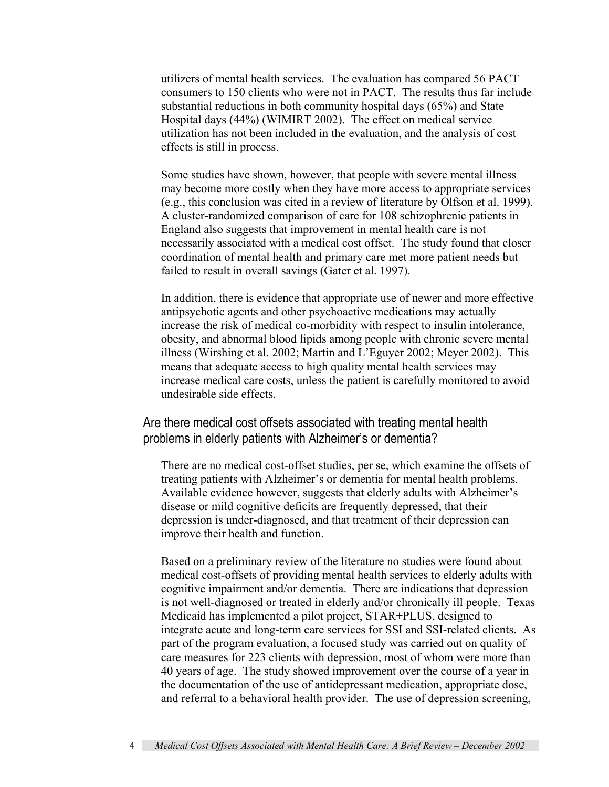utilizers of mental health services. The evaluation has compared 56 PACT consumers to 150 clients who were not in PACT. The results thus far include substantial reductions in both community hospital days (65%) and State Hospital days (44%) (WIMIRT 2002). The effect on medical service utilization has not been included in the evaluation, and the analysis of cost effects is still in process.

Some studies have shown, however, that people with severe mental illness may become more costly when they have more access to appropriate services (e.g., this conclusion was cited in a review of literature by Olfson et al. 1999). A cluster-randomized comparison of care for 108 schizophrenic patients in England also suggests that improvement in mental health care is not necessarily associated with a medical cost offset. The study found that closer coordination of mental health and primary care met more patient needs but failed to result in overall savings (Gater et al. 1997).

In addition, there is evidence that appropriate use of newer and more effective antipsychotic agents and other psychoactive medications may actually increase the risk of medical co-morbidity with respect to insulin intolerance, obesity, and abnormal blood lipids among people with chronic severe mental illness (Wirshing et al. 2002; Martin and L'Eguyer 2002; Meyer 2002). This means that adequate access to high quality mental health services may increase medical care costs, unless the patient is carefully monitored to avoid undesirable side effects.

Are there medical cost offsets associated with treating mental health problems in elderly patients with Alzheimer's or dementia?

There are no medical cost-offset studies, per se, which examine the offsets of treating patients with Alzheimer's or dementia for mental health problems. Available evidence however, suggests that elderly adults with Alzheimer's disease or mild cognitive deficits are frequently depressed, that their depression is under-diagnosed, and that treatment of their depression can improve their health and function.

Based on a preliminary review of the literature no studies were found about medical cost-offsets of providing mental health services to elderly adults with cognitive impairment and/or dementia. There are indications that depression is not well-diagnosed or treated in elderly and/or chronically ill people. Texas Medicaid has implemented a pilot project, STAR+PLUS, designed to integrate acute and long-term care services for SSI and SSI-related clients. As part of the program evaluation, a focused study was carried out on quality of care measures for 223 clients with depression, most of whom were more than 40 years of age. The study showed improvement over the course of a year in the documentation of the use of antidepressant medication, appropriate dose, and referral to a behavioral health provider. The use of depression screening,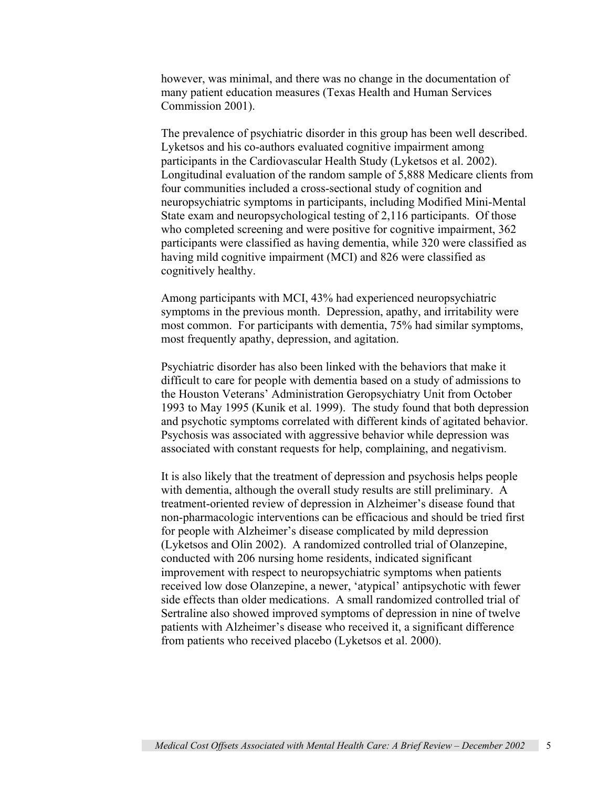however, was minimal, and there was no change in the documentation of many patient education measures (Texas Health and Human Services Commission 2001).

The prevalence of psychiatric disorder in this group has been well described. Lyketsos and his co-authors evaluated cognitive impairment among participants in the Cardiovascular Health Study (Lyketsos et al. 2002). Longitudinal evaluation of the random sample of 5,888 Medicare clients from four communities included a cross-sectional study of cognition and neuropsychiatric symptoms in participants, including Modified Mini-Mental State exam and neuropsychological testing of 2,116 participants. Of those who completed screening and were positive for cognitive impairment, 362 participants were classified as having dementia, while 320 were classified as having mild cognitive impairment (MCI) and 826 were classified as cognitively healthy.

Among participants with MCI, 43% had experienced neuropsychiatric symptoms in the previous month. Depression, apathy, and irritability were most common. For participants with dementia, 75% had similar symptoms, most frequently apathy, depression, and agitation.

Psychiatric disorder has also been linked with the behaviors that make it difficult to care for people with dementia based on a study of admissions to the Houston Veterans' Administration Geropsychiatry Unit from October 1993 to May 1995 (Kunik et al. 1999). The study found that both depression and psychotic symptoms correlated with different kinds of agitated behavior. Psychosis was associated with aggressive behavior while depression was associated with constant requests for help, complaining, and negativism.

It is also likely that the treatment of depression and psychosis helps people with dementia, although the overall study results are still preliminary. A treatment-oriented review of depression in Alzheimer's disease found that non-pharmacologic interventions can be efficacious and should be tried first for people with Alzheimer's disease complicated by mild depression (Lyketsos and Olin 2002). A randomized controlled trial of Olanzepine, conducted with 206 nursing home residents, indicated significant improvement with respect to neuropsychiatric symptoms when patients received low dose Olanzepine, a newer, 'atypical' antipsychotic with fewer side effects than older medications. A small randomized controlled trial of Sertraline also showed improved symptoms of depression in nine of twelve patients with Alzheimer's disease who received it, a significant difference from patients who received placebo (Lyketsos et al. 2000).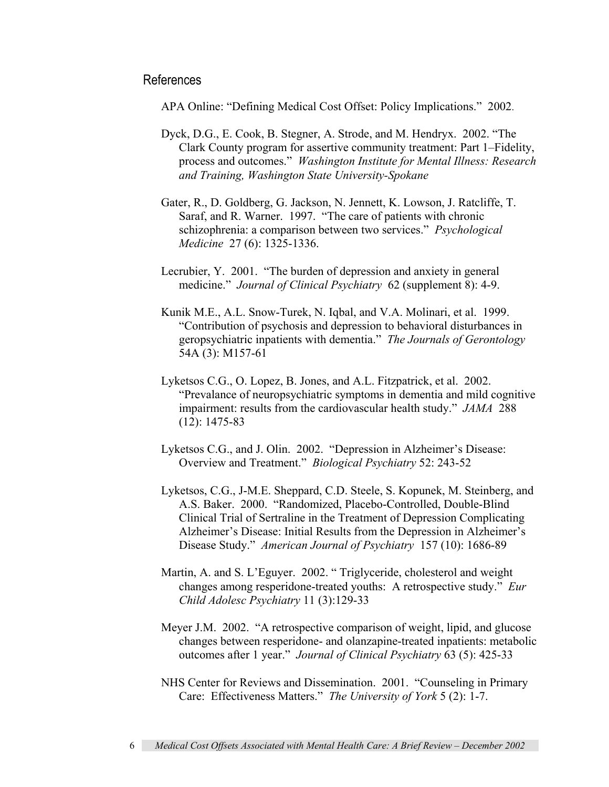#### References

APA Online: "Defining Medical Cost Offset: Policy Implications." 2002.

- Dyck, D.G., E. Cook, B. Stegner, A. Strode, and M. Hendryx. 2002. "The Clark County program for assertive community treatment: Part 1–Fidelity, process and outcomes." *Washington Institute for Mental Illness: Research and Training, Washington State University-Spokane*
- Gater, R., D. Goldberg, G. Jackson, N. Jennett, K. Lowson, J. Ratcliffe, T. Saraf, and R. Warner. 1997. "The care of patients with chronic schizophrenia: a comparison between two services." *Psychological Medicine* 27 (6): 1325-1336.
- Lecrubier, Y. 2001. "The burden of depression and anxiety in general medicine." *Journal of Clinical Psychiatry* 62 (supplement 8): 4-9.
- Kunik M.E., A.L. Snow-Turek, N. Iqbal, and V.A. Molinari, et al. 1999. "Contribution of psychosis and depression to behavioral disturbances in geropsychiatric inpatients with dementia." *The Journals of Gerontology* 54A (3): M157-61
- Lyketsos C.G., O. Lopez, B. Jones, and A.L. Fitzpatrick, et al. 2002. "Prevalance of neuropsychiatric symptoms in dementia and mild cognitive impairment: results from the cardiovascular health study." *JAMA* 288 (12): 1475-83
- Lyketsos C.G., and J. Olin. 2002. "Depression in Alzheimer's Disease: Overview and Treatment." *Biological Psychiatry* 52: 243-52
- Lyketsos, C.G., J-M.E. Sheppard, C.D. Steele, S. Kopunek, M. Steinberg, and A.S. Baker. 2000. "Randomized, Placebo-Controlled, Double-Blind Clinical Trial of Sertraline in the Treatment of Depression Complicating Alzheimer's Disease: Initial Results from the Depression in Alzheimer's Disease Study." *American Journal of Psychiatry* 157 (10): 1686-89
- Martin, A. and S. L'Eguyer. 2002. " Triglyceride, cholesterol and weight changes among resperidone-treated youths: A retrospective study." *Eur Child Adolesc Psychiatry* 11 (3):129-33
- Meyer J.M. 2002. "A retrospective comparison of weight, lipid, and glucose changes between resperidone- and olanzapine-treated inpatients: metabolic outcomes after 1 year." *Journal of Clinical Psychiatry* 63 (5): 425-33
- NHS Center for Reviews and Dissemination. 2001. "Counseling in Primary Care: Effectiveness Matters." *The University of York* 5 (2): 1-7.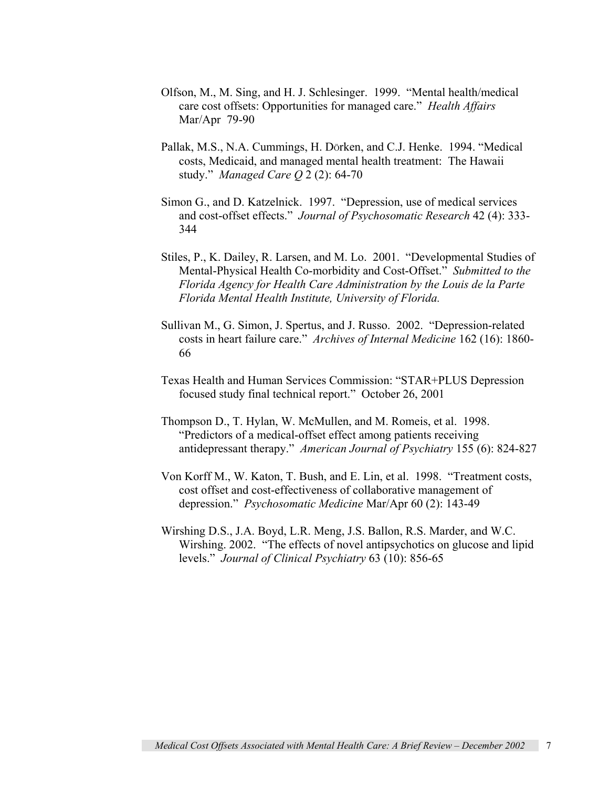- Olfson, M., M. Sing, and H. J. Schlesinger. 1999. "Mental health/medical care cost offsets: Opportunities for managed care." *Health Affairs*  Mar/Apr 79-90
- Pallak, M.S., N.A. Cummings, H. DÖrken, and C.J. Henke. 1994. "Medical costs, Medicaid, and managed mental health treatment: The Hawaii study." *Managed Care Q* 2 (2): 64-70
- Simon G., and D. Katzelnick. 1997. "Depression, use of medical services and cost-offset effects." *Journal of Psychosomatic Research* 42 (4): 333- 344
- Stiles, P., K. Dailey, R. Larsen, and M. Lo. 2001. "Developmental Studies of Mental-Physical Health Co-morbidity and Cost-Offset." *Submitted to the Florida Agency for Health Care Administration by the Louis de la Parte Florida Mental Health Institute, University of Florida.*
- Sullivan M., G. Simon, J. Spertus, and J. Russo. 2002. "Depression-related costs in heart failure care." *Archives of Internal Medicine* 162 (16): 1860- 66
- Texas Health and Human Services Commission: "STAR+PLUS Depression focused study final technical report." October 26, 2001
- Thompson D., T. Hylan, W. McMullen, and M. Romeis, et al. 1998. "Predictors of a medical-offset effect among patients receiving antidepressant therapy." *American Journal of Psychiatry* 155 (6): 824-827
- Von Korff M., W. Katon, T. Bush, and E. Lin, et al. 1998. "Treatment costs, cost offset and cost-effectiveness of collaborative management of depression." *Psychosomatic Medicine* Mar/Apr 60 (2): 143-49
- Wirshing D.S., J.A. Boyd, L.R. Meng, J.S. Ballon, R.S. Marder, and W.C. Wirshing. 2002. "The effects of novel antipsychotics on glucose and lipid levels." *Journal of Clinical Psychiatry* 63 (10): 856-65